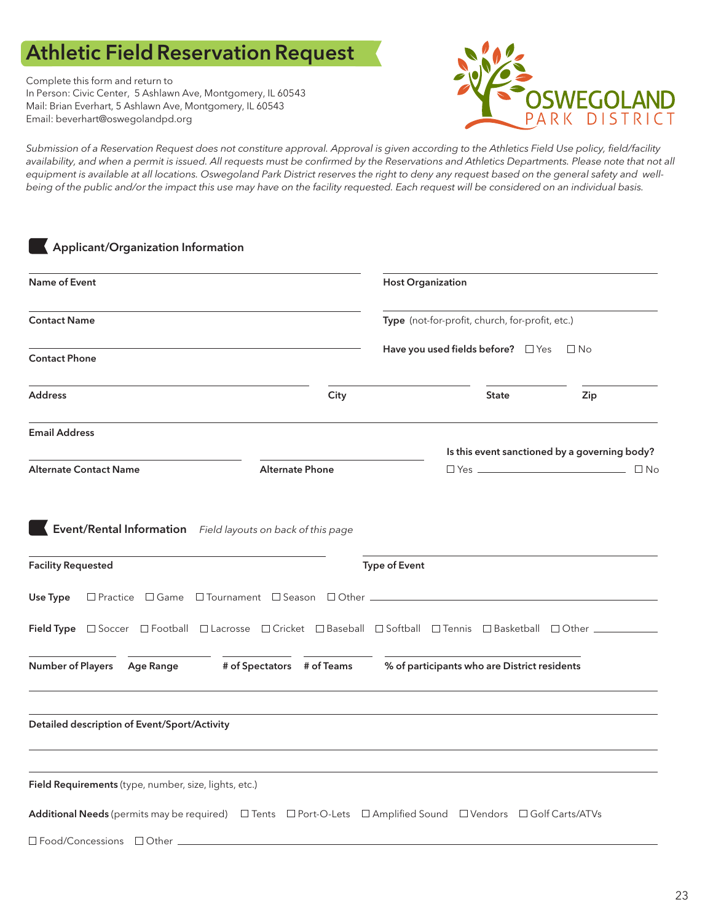# Athletic Field Reservation Request

Complete this form and return to In Person: Civic Center, 5 Ashlawn Ave, Montgomery, IL 60543 Mail: Brian Everhart, 5 Ashlawn Ave, Montgomery, IL 60543 Email: beverhart@oswegolandpd.org



*Submission of a Reservation Request does not constiture approval. Approval is given according to the Athletics Field Use policy, field/facility*  availability, and when a permit is issued. All requests must be confirmed by the Reservations and Athletics Departments. Please note that not all *equipment is available at all locations. Oswegoland Park District reserves the right to deny any request based on the general safety and wellbeing of the public and/or the impact this use may have on the facility requested. Each request will be considered on an individual basis.*

| Applicant/Organization Information                                                                             |                                                                                  |                                                                                                         |                                              |                                               |  |
|----------------------------------------------------------------------------------------------------------------|----------------------------------------------------------------------------------|---------------------------------------------------------------------------------------------------------|----------------------------------------------|-----------------------------------------------|--|
| <b>Name of Event</b>                                                                                           |                                                                                  | <b>Host Organization</b>                                                                                |                                              |                                               |  |
| <b>Contact Name</b>                                                                                            |                                                                                  | Type (not-for-profit, church, for-profit, etc.)<br>Have you used fields before? $\Box$ Yes<br>$\Box$ No |                                              |                                               |  |
| <b>Contact Phone</b>                                                                                           |                                                                                  |                                                                                                         |                                              |                                               |  |
| <b>Address</b>                                                                                                 | City                                                                             |                                                                                                         | <b>State</b>                                 | Zip                                           |  |
| <b>Email Address</b>                                                                                           |                                                                                  |                                                                                                         |                                              | Is this event sanctioned by a governing body? |  |
| <b>Alternate Contact Name</b>                                                                                  | <b>Alternate Phone</b>                                                           |                                                                                                         |                                              | $\Box$ No                                     |  |
| Event/Rental Information Field layouts on back of this page                                                    |                                                                                  |                                                                                                         |                                              |                                               |  |
| <b>Facility Requested</b>                                                                                      |                                                                                  | <b>Type of Event</b>                                                                                    |                                              |                                               |  |
| Use Type                                                                                                       | □ Practice □ Game □ Tournament □ Season □ Other ________________________________ |                                                                                                         |                                              |                                               |  |
| Field Type <b>Soccer GFootball Blacrosse BCricket BBaseball BSoftball BTennis BBasketball BOther</b>           |                                                                                  |                                                                                                         |                                              |                                               |  |
| Number of Players Age Range                                                                                    | # of Spectators # of Teams                                                       |                                                                                                         | % of participants who are District residents |                                               |  |
| Detailed description of Event/Sport/Activity                                                                   |                                                                                  |                                                                                                         |                                              |                                               |  |
|                                                                                                                |                                                                                  |                                                                                                         |                                              |                                               |  |
| Field Requirements (type, number, size, lights, etc.)                                                          |                                                                                  |                                                                                                         |                                              |                                               |  |
| Additional Needs (permits may be required) □ Tents □ Port-O-Lets □ Amplified Sound □ Vendors □ Golf Carts/ATVs |                                                                                  |                                                                                                         |                                              |                                               |  |
| □ Food/Concessions □ Other ___                                                                                 |                                                                                  |                                                                                                         |                                              |                                               |  |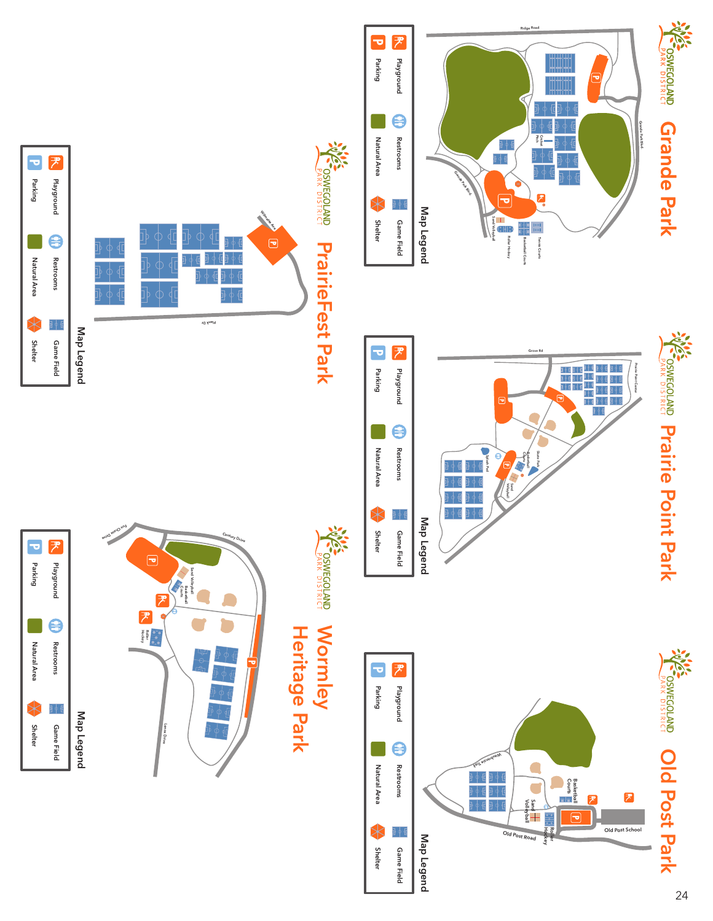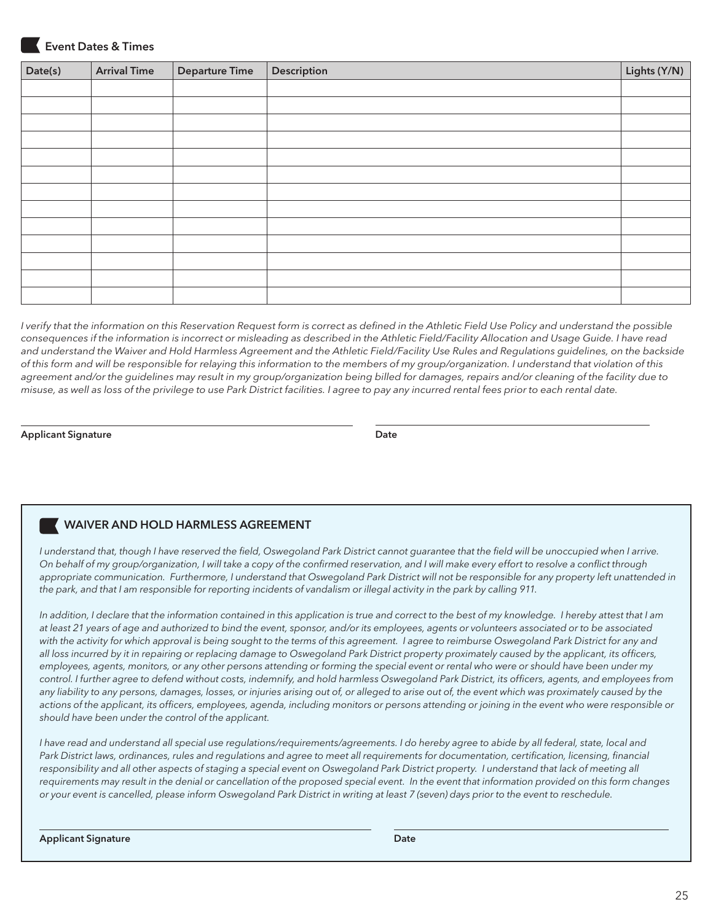

## Event Dates & Times

| Date(s) | <b>Arrival Time</b> | <b>Departure Time</b> | Description | Lights (Y/N) |
|---------|---------------------|-----------------------|-------------|--------------|
|         |                     |                       |             |              |
|         |                     |                       |             |              |
|         |                     |                       |             |              |
|         |                     |                       |             |              |
|         |                     |                       |             |              |
|         |                     |                       |             |              |
|         |                     |                       |             |              |
|         |                     |                       |             |              |
|         |                     |                       |             |              |
|         |                     |                       |             |              |
|         |                     |                       |             |              |
|         |                     |                       |             |              |
|         |                     |                       |             |              |

*I verify that the information on this Reservation Request form is correct as defined in the Athletic Field Use Policy and understand the possible consequences if the information is incorrect or misleading as described in the Athletic Field/Facility Allocation and Usage Guide. I have read and understand the Waiver and Hold Harmless Agreement and the Athletic Field/Facility Use Rules and Regulations guidelines, on the backside of this form and will be responsible for relaying this information to the members of my group/organization. I understand that violation of this agreement and/or the guidelines may result in my group/organization being billed for damages, repairs and/or cleaning of the facility due to misuse, as well as loss of the privilege to use Park District facilities. I agree to pay any incurred rental fees prior to each rental date.* 

#### Applicant Signature Date Applicant Signature Date

# WAIVER AND HOLD HARMLESS AGREEMENT

I understand that, though I have reserved the field, Oswegoland Park District cannot guarantee that the field will be unoccupied when I arrive. *On behalf of my group/organization, I will take a copy of the confirmed reservation, and I will make every effort to resolve a conflict through*  appropriate communication. Furthermore, I understand that Oswegoland Park District will not be responsible for any property left unattended in the park, and that I am responsible for reporting incidents of vandalism or illegal activity in the park by calling 911.

In addition, I declare that the information contained in this application is true and correct to the best of my knowledge. I hereby attest that I am *at least 21 years of age and authorized to bind the event, sponsor, and/or its employees, agents or volunteers associated or to be associated*  with the activity for which approval is being sought to the terms of this agreement. I agree to reimburse Oswegoland Park District for any and *all loss incurred by it in repairing or replacing damage to Oswegoland Park District property proximately caused by the applicant, its officers, employees, agents, monitors, or any other persons attending or forming the special event or rental who were or should have been under my control. I further agree to defend without costs, indemnify, and hold harmless Oswegoland Park District, its officers, agents, and employees from*  any liability to any persons, damages, losses, or injuries arising out of, or alleged to arise out of, the event which was proximately caused by the actions of the applicant, its officers, employees, agenda, including monitors or persons attending or joining in the event who were responsible or *should have been under the control of the applicant.*

*I have read and understand all special use regulations/requirements/agreements. I do hereby agree to abide by all federal, state, local and*  Park District laws, ordinances, rules and regulations and agree to meet all requirements for documentation, certification, licensing, financial responsibility and all other aspects of staging a special event on Oswegoland Park District property. I understand that lack of meeting all *requirements may result in the denial or cancellation of the proposed special event. In the event that information provided on this form changes or your event is cancelled, please inform Oswegoland Park District in writing at least 7 (seven) days prior to the event to reschedule.*

Applicant Signature **Date**